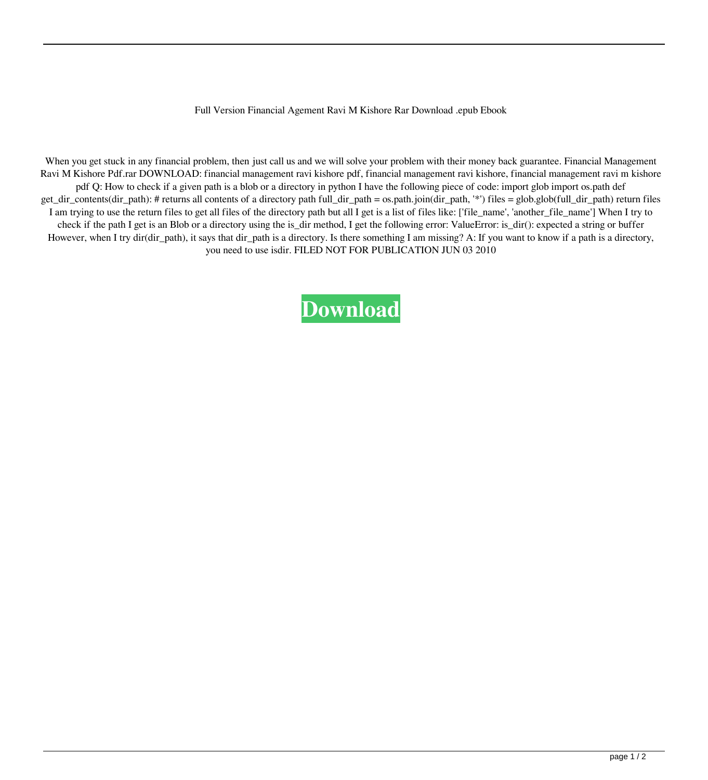## Full Version Financial Agement Ravi M Kishore Rar Download .epub Ebook

When you get stuck in any financial problem, then just call us and we will solve your problem with their money back guarantee. Financial Management Ravi M Kishore Pdf.rar DOWNLOAD: financial management ravi kishore pdf, financial management ravi kishore, financial management ravi m kishore pdf Q: How to check if a given path is a blob or a directory in python I have the following piece of code: import glob import os.path def get\_dir\_contents(dir\_path): # returns all contents of a directory path full\_dir\_path = os.path.join(dir\_path, '\*') files = glob.glob(full\_dir\_path) return files I am trying to use the return files to get all files of the directory path but all I get is a list of files like: ['file\_name', 'another\_file\_name'] When I try to check if the path I get is an Blob or a directory using the is\_dir method, I get the following error: ValueError: is\_dir(): expected a string or buffer However, when I try dir(dir\_path), it says that dir\_path is a directory. Is there something I am missing? A: If you want to know if a path is a directory, you need to use isdir. FILED NOT FOR PUBLICATION JUN 03 2010